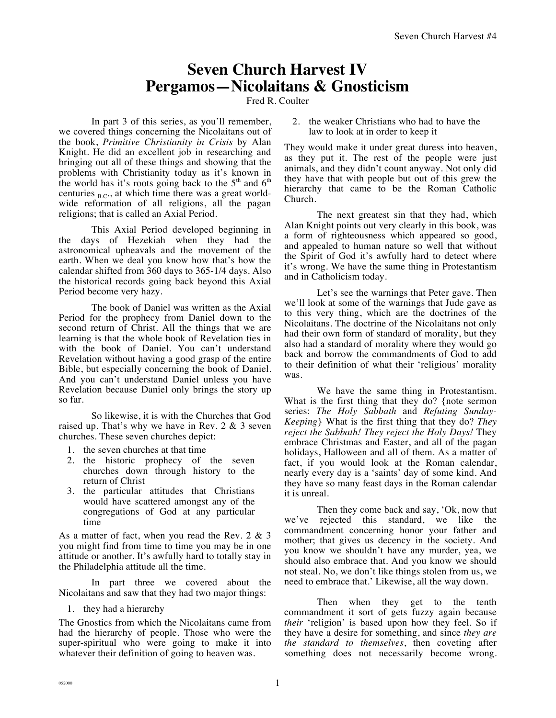## **Seven Church Harvest IV Pergamos—Nicolaitans & Gnosticism**

Fred R. Coulter

In part 3 of this series, as you'll remember, we covered things concerning the Nicolaitans out of the book, *Primitive Christianity in Crisis* by Alan Knight. He did an excellent job in researching and bringing out all of these things and showing that the problems with Christianity today as it's known in the world has it's roots going back to the  $5<sup>th</sup>$  and  $6<sup>th</sup>$ centuries  $_{B.C.}$ , at which time there was a great worldwide reformation of all religions, all the pagan religions; that is called an Axial Period.

This Axial Period developed beginning in the days of Hezekiah when they had the astronomical upheavals and the movement of the earth. When we deal you know how that's how the calendar shifted from 360 days to 365-1/4 days. Also the historical records going back beyond this Axial Period become very hazy.

The book of Daniel was written as the Axial Period for the prophecy from Daniel down to the second return of Christ. All the things that we are learning is that the whole book of Revelation ties in with the book of Daniel. You can't understand Revelation without having a good grasp of the entire Bible, but especially concerning the book of Daniel. And you can't understand Daniel unless you have Revelation because Daniel only brings the story up so far.

So likewise, it is with the Churches that God raised up. That's why we have in Rev. 2 & 3 seven churches. These seven churches depict:

- 1. the seven churches at that time
- 2. the historic prophecy of the seven churches down through history to the return of Christ
- 3. the particular attitudes that Christians would have scattered amongst any of the congregations of God at any particular time

As a matter of fact, when you read the Rev. 2 & 3 you might find from time to time you may be in one attitude or another. It's awfully hard to totally stay in the Philadelphia attitude all the time.

In part three we covered about the Nicolaitans and saw that they had two major things:

## 1. they had a hierarchy

The Gnostics from which the Nicolaitans came from had the hierarchy of people. Those who were the super-spiritual who were going to make it into whatever their definition of going to heaven was.

2. the weaker Christians who had to have the law to look at in order to keep it

They would make it under great duress into heaven, as they put it. The rest of the people were just animals, and they didn't count anyway. Not only did they have that with people but out of this grew the hierarchy that came to be the Roman Catholic Church.

The next greatest sin that they had, which Alan Knight points out very clearly in this book, was a form of righteousness which appeared so good, and appealed to human nature so well that without the Spirit of God it's awfully hard to detect where it's wrong. We have the same thing in Protestantism and in Catholicism today.

Let's see the warnings that Peter gave. Then we'll look at some of the warnings that Jude gave as to this very thing, which are the doctrines of the Nicolaitans. The doctrine of the Nicolaitans not only had their own form of standard of morality, but they also had a standard of morality where they would go back and borrow the commandments of God to add to their definition of what their 'religious' morality was.

We have the same thing in Protestantism. What is the first thing that they do? {note sermon series: *The Holy Sabbath* and *Refuting Sunday-Keeping*} What is the first thing that they do? *They reject the Sabbath! They reject the Holy Days!* They embrace Christmas and Easter, and all of the pagan holidays, Halloween and all of them. As a matter of fact, if you would look at the Roman calendar, nearly every day is a 'saints' day of some kind. And they have so many feast days in the Roman calendar it is unreal.

Then they come back and say, 'Ok, now that we've rejected this standard, we like the commandment concerning honor your father and mother; that gives us decency in the society. And you know we shouldn't have any murder, yea, we should also embrace that. And you know we should not steal. No, we don't like things stolen from us, we need to embrace that.' Likewise, all the way down.

Then when they get to the tenth commandment it sort of gets fuzzy again because *their* 'religion' is based upon how they feel. So if they have a desire for something, and since *they are the standard to themselves*, then coveting after something does not necessarily become wrong.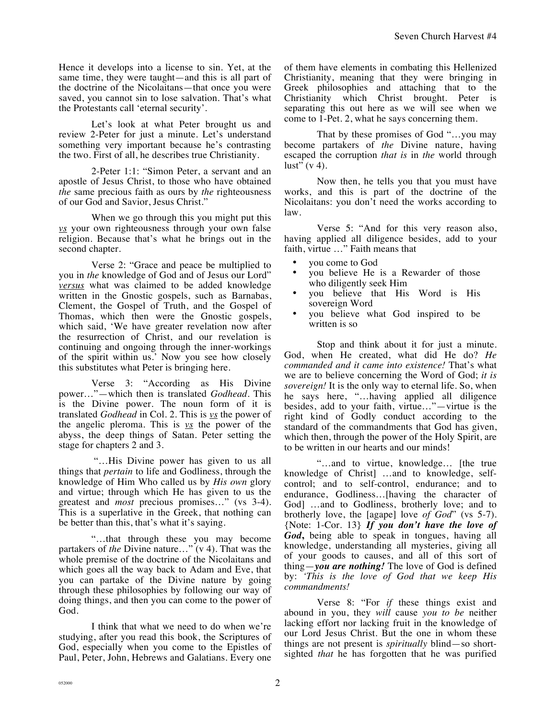Hence it develops into a license to sin. Yet, at the same time, they were taught—and this is all part of the doctrine of the Nicolaitans—that once you were saved, you cannot sin to lose salvation. That's what the Protestants call 'eternal security'.

Let's look at what Peter brought us and review 2-Peter for just a minute. Let's understand something very important because he's contrasting the two. First of all, he describes true Christianity.

2-Peter 1:1: "Simon Peter, a servant and an apostle of Jesus Christ, to those who have obtained *the* same precious faith as ours by *the* righteousness of our God and Savior, Jesus Christ."

When we go through this you might put this *vs* your own righteousness through your own false religion. Because that's what he brings out in the second chapter.

Verse 2: "Grace and peace be multiplied to you in *the* knowledge of God and of Jesus our Lord" *versus* what was claimed to be added knowledge written in the Gnostic gospels, such as Barnabas, Clement, the Gospel of Truth, and the Gospel of Thomas, which then were the Gnostic gospels, which said, 'We have greater revelation now after the resurrection of Christ, and our revelation is continuing and ongoing through the inner-workings of the spirit within us.' Now you see how closely this substitutes what Peter is bringing here.

Verse 3: "According as His Divine power…"—which then is translated *Godhead*. This is the Divine power. The noun form of it is translated *Godhead* in Col. 2. This is *vs* the power of the angelic pleroma. This is *vs* the power of the abyss, the deep things of Satan. Peter setting the stage for chapters 2 and 3.

 "…His Divine power has given to us all things that *pertain* to life and Godliness, through the knowledge of Him Who called us by *His own* glory and virtue; through which He has given to us the greatest and *most* precious promises…" (vs 3-4). This is a superlative in the Greek, that nothing can be better than this, that's what it's saying.

"…that through these you may become partakers of *the* Divine nature…" (v 4). That was the whole premise of the doctrine of the Nicolaitans and which goes all the way back to Adam and Eve, that you can partake of the Divine nature by going through these philosophies by following our way of doing things, and then you can come to the power of God.

I think that what we need to do when we're studying, after you read this book, the Scriptures of God, especially when you come to the Epistles of Paul, Peter, John, Hebrews and Galatians. Every one of them have elements in combating this Hellenized Christianity, meaning that they were bringing in Greek philosophies and attaching that to the Christianity which Christ brought. Peter is separating this out here as we will see when we come to 1-Pet. 2, what he says concerning them.

That by these promises of God "…you may become partakers of *the* Divine nature, having escaped the corruption *that is* in *the* world through lust"  $(v 4)$ .

Now then, he tells you that you must have works, and this is part of the doctrine of the Nicolaitans: you don't need the works according to law.

Verse 5: "And for this very reason also, having applied all diligence besides, add to your faith, virtue …" Faith means that

- you come to God
- you believe He is a Rewarder of those who diligently seek Him
- you believe that His Word is His sovereign Word
- you believe what God inspired to be written is so

Stop and think about it for just a minute. God, when He created, what did He do? *He commanded and it came into existence!* That's what we are to believe concerning the Word of God; *it is sovereign!* It is the only way to eternal life. So, when he says here, "…having applied all diligence besides, add to your faith, virtue…"—virtue is the right kind of Godly conduct according to the standard of the commandments that God has given, which then, through the power of the Holy Spirit, are to be written in our hearts and our minds!

"…and to virtue, knowledge… [the true knowledge of Christ] …and to knowledge, selfcontrol; and to self-control, endurance; and to endurance, Godliness…[having the character of God] …and to Godliness, brotherly love; and to brotherly love, the [agape] love *of God*" (vs 5-7). {Note: 1-Cor. 13} *If you don't have the love of God***,** being able to speak in tongues, having all knowledge, understanding all mysteries, giving all of your goods to causes, and all of this sort of thing—*you are nothing!* The love of God is defined by: *'This is the love of God that we keep His commandments!*

Verse 8: "For *if* these things exist and abound in you, they *will* cause *you to be* neither lacking effort nor lacking fruit in the knowledge of our Lord Jesus Christ. But the one in whom these things are not present is *spiritually* blind—so shortsighted *that* he has forgotten that he was purified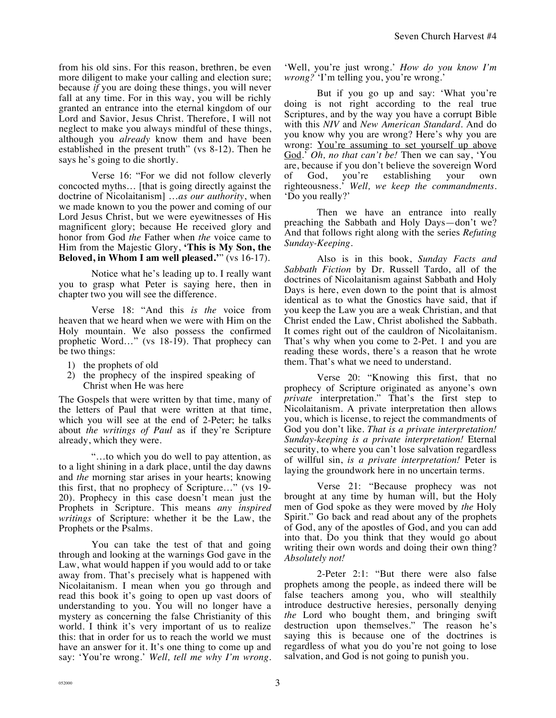from his old sins. For this reason, brethren, be even more diligent to make your calling and election sure; because *if* you are doing these things, you will never fall at any time. For in this way, you will be richly granted an entrance into the eternal kingdom of our Lord and Savior, Jesus Christ. Therefore, I will not neglect to make you always mindful of these things, although you *already* know them and have been established in the present truth" (vs 8-12). Then he says he's going to die shortly.

Verse 16: "For we did not follow cleverly concocted myths… [that is going directly against the doctrine of Nicolaitanism] …*as our authority*, when we made known to you the power and coming of our Lord Jesus Christ, but we were eyewitnesses of His magnificent glory; because He received glory and honor from God *the* Father when *the* voice came to Him from the Majestic Glory, **'This is My Son, the Beloved, in Whom I am well pleased.'**" (vs 16-17).

Notice what he's leading up to. I really want you to grasp what Peter is saying here, then in chapter two you will see the difference.

Verse 18: "And this *is the* voice from heaven that we heard when we were with Him on the Holy mountain. We also possess the confirmed prophetic Word…" (vs 18-19). That prophecy can be two things:

- 1) the prophets of old
- 2) the prophecy of the inspired speaking of Christ when He was here

The Gospels that were written by that time, many of the letters of Paul that were written at that time, which you will see at the end of 2-Peter; he talks about *the writings of Paul* as if they're Scripture already, which they were.

"…to which you do well to pay attention, as to a light shining in a dark place, until the day dawns and *the* morning star arises in your hearts; knowing this first, that no prophecy of Scripture…" (vs 19- 20). Prophecy in this case doesn't mean just the Prophets in Scripture. This means *any inspired writings* of Scripture: whether it be the Law, the Prophets or the Psalms.

You can take the test of that and going through and looking at the warnings God gave in the Law, what would happen if you would add to or take away from. That's precisely what is happened with Nicolaitanism. I mean when you go through and read this book it's going to open up vast doors of understanding to you. You will no longer have a mystery as concerning the false Christianity of this world. I think it's very important of us to realize this: that in order for us to reach the world we must have an answer for it. It's one thing to come up and say: 'You're wrong.' *Well, tell me why I'm wrong.* 

'Well, you're just wrong.' *How do you know I'm wrong?* 'I'm telling you, you're wrong.'

But if you go up and say: 'What you're doing is not right according to the real true Scriptures, and by the way you have a corrupt Bible with this *NIV* and *New American Standard*. And do you know why you are wrong? Here's why you are wrong: <u>You're assuming to set yourself up above</u> God.' *Oh, no that can't be!* Then we can say, 'You are, because if you don't believe the sovereign Word of God, you're establishing your own righteousness.' *Well, we keep the commandments.*  'Do you really?'

Then we have an entrance into really preaching the Sabbath and Holy Days—don't we? And that follows right along with the series *Refuting Sunday-Keeping.*

Also is in this book, *Sunday Facts and Sabbath Fiction* by Dr. Russell Tardo, all of the doctrines of Nicolaitanism against Sabbath and Holy Days is here, even down to the point that is almost identical as to what the Gnostics have said, that if you keep the Law you are a weak Christian, and that Christ ended the Law, Christ abolished the Sabbath. It comes right out of the cauldron of Nicolaitanism. That's why when you come to 2-Pet. 1 and you are reading these words, there's a reason that he wrote them. That's what we need to understand.

Verse 20: "Knowing this first, that no prophecy of Scripture originated as anyone's own *private* interpretation." That's the first step to Nicolaitanism. A private interpretation then allows you, which is license, to reject the commandments of God you don't like. *That is a private interpretation! Sunday-keeping is a private interpretation!* Eternal security, to where you can't lose salvation regardless of willful sin, *is a private interpretation!* Peter is laying the groundwork here in no uncertain terms.

Verse 21: "Because prophecy was not brought at any time by human will, but the Holy men of God spoke as they were moved by *the* Holy Spirit." Go back and read about any of the prophets of God, any of the apostles of God, and you can add into that. Do you think that they would go about writing their own words and doing their own thing? *Absolutely not!* 

2-Peter 2:1: "But there were also false prophets among the people, as indeed there will be false teachers among you, who will stealthily introduce destructive heresies, personally denying *the* Lord who bought them, and bringing swift destruction upon themselves." The reason he's saying this is because one of the doctrines is regardless of what you do you're not going to lose salvation, and God is not going to punish you.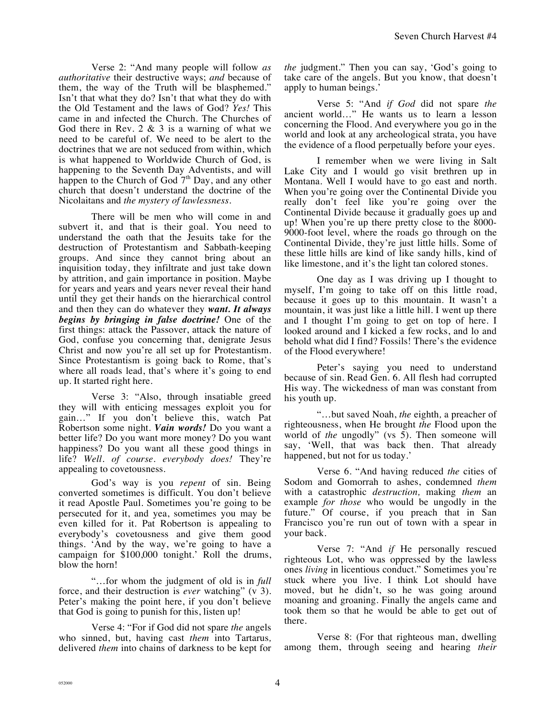Verse 2: "And many people will follow *as authoritative* their destructive ways; *and* because of them, the way of the Truth will be blasphemed." Isn't that what they do? Isn't that what they do with the Old Testament and the laws of God? *Yes!* This came in and infected the Church. The Churches of God there in Rev.  $2 \& 3$  is a warning of what we need to be careful of. We need to be alert to the doctrines that we are not seduced from within, which is what happened to Worldwide Church of God, is happening to the Seventh Day Adventists, and will happen to the Church of God  $7<sup>th</sup>$  Day, and any other church that doesn't understand the doctrine of the Nicolaitans and *the mystery of lawlessness*.

There will be men who will come in and subvert it, and that is their goal. You need to understand the oath that the Jesuits take for the destruction of Protestantism and Sabbath-keeping groups. And since they cannot bring about an inquisition today, they infiltrate and just take down by attrition, and gain importance in position. Maybe for years and years and years never reveal their hand until they get their hands on the hierarchical control and then they can do whatever they *want. It always begins by bringing in false doctrine!* One of the first things: attack the Passover, attack the nature of God, confuse you concerning that, denigrate Jesus Christ and now you're all set up for Protestantism. Since Protestantism is going back to Rome, that's where all roads lead, that's where it's going to end up. It started right here.

Verse 3: "Also, through insatiable greed they will with enticing messages exploit you for gain…" If you don't believe this, watch Pat Robertson some night. *Vain words!* Do you want a better life? Do you want more money? Do you want happiness? Do you want all these good things in life? *Well. of course. everybody does!* They're appealing to covetousness.

God's way is you *repent* of sin. Being converted sometimes is difficult. You don't believe it read Apostle Paul. Sometimes you're going to be persecuted for it, and yea, sometimes you may be even killed for it. Pat Robertson is appealing to everybody's covetousness and give them good things. 'And by the way, we're going to have a campaign for \$100,000 tonight.' Roll the drums, blow the horn!

"…for whom the judgment of old is in *full* force, and their destruction is *ever* watching" (v 3). Peter's making the point here, if you don't believe that God is going to punish for this, listen up!

Verse 4: "For if God did not spare *the* angels who sinned, but, having cast *them* into Tartarus*,*  delivered *them* into chains of darkness to be kept for *the* judgment." Then you can say, 'God's going to take care of the angels. But you know, that doesn't apply to human beings.'

Verse 5: "And *if God* did not spare *the* ancient world…" He wants us to learn a lesson concerning the Flood. And everywhere you go in the world and look at any archeological strata, you have the evidence of a flood perpetually before your eyes.

I remember when we were living in Salt Lake City and I would go visit brethren up in Montana. Well I would have to go east and north. When you're going over the Continental Divide you really don't feel like you're going over the Continental Divide because it gradually goes up and up! When you're up there pretty close to the 8000- 9000-foot level, where the roads go through on the Continental Divide, they're just little hills. Some of these little hills are kind of like sandy hills, kind of like limestone, and it's the light tan colored stones.

One day as I was driving up I thought to myself, I'm going to take off on this little road, because it goes up to this mountain. It wasn't a mountain, it was just like a little hill. I went up there and I thought I'm going to get on top of here. I looked around and I kicked a few rocks, and lo and behold what did I find? Fossils! There's the evidence of the Flood everywhere!

Peter's saying you need to understand because of sin. Read Gen. 6. All flesh had corrupted His way. The wickedness of man was constant from his youth up.

"…but saved Noah, *the* eighth*,* a preacher of righteousness, when He brought *the* Flood upon the world of *the* ungodly" (vs 5). Then someone will say, 'Well, that was back then. That already happened, but not for us today.'

Verse 6. "And having reduced *the* cities of Sodom and Gomorrah to ashes, condemned *them* with a catastrophic *destruction,* making *them* an example *for those* who would be ungodly in the future." Of course, if you preach that in San Francisco you're run out of town with a spear in your back.

Verse 7: "And *if* He personally rescued righteous Lot, who was oppressed by the lawless ones *living* in licentious conduct." Sometimes you're stuck where you live. I think Lot should have moved, but he didn't, so he was going around moaning and groaning. Finally the angels came and took them so that he would be able to get out of there.

Verse 8: (For that righteous man, dwelling among them, through seeing and hearing *their*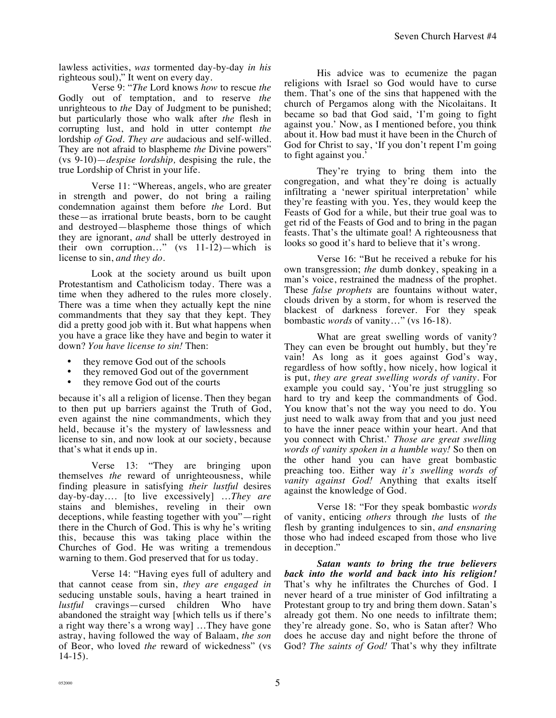lawless activities, *was* tormented day-by-day *in his* righteous soul)," It went on every day.

Verse 9: "*The* Lord knows *how* to rescue *the* Godly out of temptation, and to reserve *the* unrighteous to *the* Day of Judgment to be punished; but particularly those who walk after *the* flesh in corrupting lust, and hold in utter contempt *the* lordship *of God. They are* audacious and self-willed. They are not afraid to blaspheme *the* Divine powers" (vs 9-10)—*despise lordship,* despising the rule, the true Lordship of Christ in your life.

Verse 11: "Whereas, angels, who are greater in strength and power, do not bring a railing condemnation against them before *the* Lord. But these—as irrational brute beasts, born to be caught and destroyed—blaspheme those things of which they are ignorant, *and* shall be utterly destroyed in their own corruption…" (vs 11-12)—which is license to sin, *and they do.*

Look at the society around us built upon Protestantism and Catholicism today. There was a time when they adhered to the rules more closely. There was a time when they actually kept the nine commandments that they say that they kept. They did a pretty good job with it. But what happens when you have a grace like they have and begin to water it down? *You have license to sin!* Then:

- they remove God out of the schools
- they removed God out of the government
- they remove God out of the courts

because it's all a religion of license. Then they began to then put up barriers against the Truth of God, even against the nine commandments, which they held, because it's the mystery of lawlessness and license to sin, and now look at our society, because that's what it ends up in.

Verse 13: "They are bringing upon themselves *the* reward of unrighteousness, while finding pleasure in satisfying *their lustful* desires day-by-day…. [to live excessively] …*They are* stains and blemishes, reveling in their own deceptions, while feasting together with you"—right there in the Church of God. This is why he's writing this, because this was taking place within the Churches of God. He was writing a tremendous warning to them. God preserved that for us today.

Verse 14: "Having eyes full of adultery and that cannot cease from sin, *they are engaged in* seducing unstable souls, having a heart trained in *lustful* cravings—cursed children Who have abandoned the straight way [which tells us if there's a right way there's a wrong way] …They have gone astray, having followed the way of Balaam, *the son* of Beor, who loved *the* reward of wickedness" (vs 14-15).

His advice was to ecumenize the pagan religions with Israel so God would have to curse them. That's one of the sins that happened with the church of Pergamos along with the Nicolaitans. It became so bad that God said, 'I'm going to fight against you.' Now, as I mentioned before, you think about it. How bad must it have been in the Church of God for Christ to say, 'If you don't repent I'm going to fight against you.'

They're trying to bring them into the congregation, and what they're doing is actually infiltrating a 'newer spiritual interpretation' while they're feasting with you. Yes, they would keep the Feasts of God for a while, but their true goal was to get rid of the Feasts of God and to bring in the pagan feasts. That's the ultimate goal! A righteousness that looks so good it's hard to believe that it's wrong.

Verse 16: "But he received a rebuke for his own transgression; *the* dumb donkey, speaking in a man's voice, restrained the madness of the prophet. These *false prophets* are fountains without water, clouds driven by a storm, for whom is reserved the blackest of darkness forever. For they speak bombastic *words* of vanity…" (vs 16-18).

What are great swelling words of vanity? They can even be brought out humbly, but they're vain! As long as it goes against God's way, regardless of how softly, how nicely, how logical it is put, *they are great swelling words of vanity*. For example you could say, 'You're just struggling so hard to try and keep the commandments of God. You know that's not the way you need to do. You just need to walk away from that and you just need to have the inner peace within your heart. And that you connect with Christ.' *Those are great swelling words of vanity spoken in a humble way!* So then on the other hand you can have great bombastic preaching too. Either way *it's swelling words of vanity against God!* Anything that exalts itself against the knowledge of God.

Verse 18: "For they speak bombastic *words* of vanity, enticing *others* through *the* lusts of *the* flesh by granting indulgences to sin, *and ensnaring*  those who had indeed escaped from those who live in deception."

*Satan wants to bring the true believers back into the world and back into his religion!*  That's why he infiltrates the Churches of God. I never heard of a true minister of God infiltrating a Protestant group to try and bring them down. Satan's already got them. No one needs to infiltrate them; they're already gone. So, who is Satan after? Who does he accuse day and night before the throne of God? *The saints of God!* That's why they infiltrate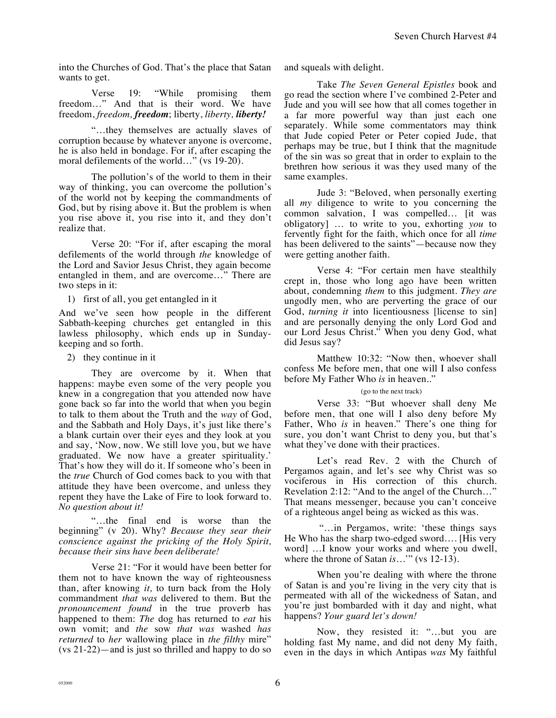into the Churches of God. That's the place that Satan wants to get.

Verse 19: "While promising them freedom…" And that is their word. We have freedom, *freedom, freedom*; liberty, *liberty, liberty!*

"…they themselves are actually slaves of corruption because by whatever anyone is overcome, he is also held in bondage. For if, after escaping the moral defilements of the world…" (vs 19-20).

The pollution's of the world to them in their way of thinking, you can overcome the pollution's of the world not by keeping the commandments of God, but by rising above it. But the problem is when you rise above it, you rise into it, and they don't realize that.

Verse 20: "For if, after escaping the moral defilements of the world through *the* knowledge of the Lord and Savior Jesus Christ, they again become entangled in them, and are overcome…" There are two steps in it:

1) first of all, you get entangled in it

And we've seen how people in the different Sabbath-keeping churches get entangled in this lawless philosophy, which ends up in Sundaykeeping and so forth.

2) they continue in it

They are overcome by it. When that happens: maybe even some of the very people you knew in a congregation that you attended now have gone back so far into the world that when you begin to talk to them about the Truth and the *way* of God, and the Sabbath and Holy Days, it's just like there's a blank curtain over their eyes and they look at you and say, 'Now, now. We still love you, but we have graduated. We now have a greater spirituality.' That's how they will do it. If someone who's been in the *true* Church of God comes back to you with that attitude they have been overcome, and unless they repent they have the Lake of Fire to look forward to. *No question about it!*

"…the final end is worse than the beginning" (v 20). Why? *Because they sear their conscience against the pricking of the Holy Spirit, because their sins have been deliberate!*

Verse 21: "For it would have been better for them not to have known the way of righteousness than, after knowing *it,* to turn back from the Holy commandment *that was* delivered to them. But the *pronouncement found* in the true proverb has happened to them: *The* dog has returned to *eat* his own vomit; and *the* sow *that was* washed *has returned* to *her* wallowing place in *the filthy* mire" (vs 21-22)—and is just so thrilled and happy to do so and squeals with delight.

Take *The Seven General Epistles* book and go read the section where I've combined 2-Peter and Jude and you will see how that all comes together in a far more powerful way than just each one separately. While some commentators may think that Jude copied Peter or Peter copied Jude, that perhaps may be true, but I think that the magnitude of the sin was so great that in order to explain to the brethren how serious it was they used many of the same examples.

Jude 3: "Beloved, when personally exerting all *my* diligence to write to you concerning the common salvation, I was compelled… [it was obligatory] … to write to you, exhorting *you* to fervently fight for the faith, which once for all *time* has been delivered to the saints"—because now they were getting another faith.

Verse 4: "For certain men have stealthily crept in, those who long ago have been written about, condemning *them* to this judgment. *They are* ungodly men, who are perverting the grace of our God, *turning it* into licentiousness [license to sin] and are personally denying the only Lord God and our Lord Jesus Christ." When you deny God, what did Jesus say?

Matthew 10:32: "Now then, whoever shall confess Me before men, that one will I also confess before My Father Who *is* in heaven.."

## (go to the next track)

Verse 33: "But whoever shall deny Me before men, that one will I also deny before My Father, Who *is* in heaven." There's one thing for sure, you don't want Christ to deny you, but that's what they've done with their practices.

Let's read Rev. 2 with the Church of Pergamos again, and let's see why Christ was so vociferous in His correction of this church. Revelation 2:12: "And to the angel of the Church…" That means messenger, because you can't conceive of a righteous angel being as wicked as this was.

 "…in Pergamos, write: 'these things says He Who has the sharp two-edged sword…. [His very word] …I know your works and where you dwell, where the throne of Satan *is*..." (vs 12-13).

When you're dealing with where the throne of Satan is and you're living in the very city that is permeated with all of the wickedness of Satan, and you're just bombarded with it day and night, what happens? *Your guard let's down!*

Now, they resisted it: "…but you are holding fast My name, and did not deny My faith, even in the days in which Antipas *was* My faithful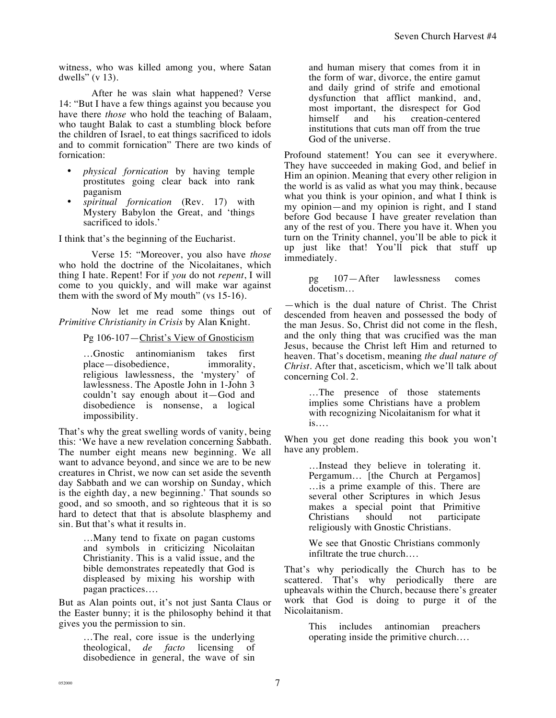witness, who was killed among you, where Satan dwells" (v 13).

After he was slain what happened? Verse 14: "But I have a few things against you because you have there *those* who hold the teaching of Balaam, who taught Balak to cast a stumbling block before the children of Israel, to eat things sacrificed to idols and to commit fornication" There are two kinds of fornication:

- *physical fornication* by having temple prostitutes going clear back into rank paganism
- *spiritual fornication* (Rev. 17) with Mystery Babylon the Great, and 'things sacrificed to idols.'

I think that's the beginning of the Eucharist.

Verse 15: "Moreover, you also have *those* who hold the doctrine of the Nicolaitanes, which thing I hate. Repent! For if *you* do not *repent*, I will come to you quickly, and will make war against them with the sword of My mouth" (vs 15-16).

Now let me read some things out of *Primitive Christianity in Crisis* by Alan Knight.

Pg 106-107—Christ's View of Gnosticism

…Gnostic antinomianism takes first place—disobedience, immorality, religious lawlessness, the 'mystery' of lawlessness. The Apostle John in 1-John 3 couldn't say enough about it—God and disobedience is nonsense, a logical impossibility.

That's why the great swelling words of vanity, being this: 'We have a new revelation concerning Sabbath. The number eight means new beginning. We all want to advance beyond, and since we are to be new creatures in Christ, we now can set aside the seventh day Sabbath and we can worship on Sunday, which is the eighth day, a new beginning.' That sounds so good, and so smooth, and so righteous that it is so hard to detect that that is absolute blasphemy and sin. But that's what it results in.

> …Many tend to fixate on pagan customs and symbols in criticizing Nicolaitan Christianity. This is a valid issue, and the bible demonstrates repeatedly that God is displeased by mixing his worship with pagan practices….

But as Alan points out, it's not just Santa Claus or the Easter bunny; it is the philosophy behind it that gives you the permission to sin.

> …The real, core issue is the underlying theological, *de facto* licensing of disobedience in general, the wave of sin

and human misery that comes from it in the form of war, divorce, the entire gamut and daily grind of strife and emotional dysfunction that afflict mankind, and, most important, the disrespect for God himself and his creation-centered institutions that cuts man off from the true God of the universe.

Profound statement! You can see it everywhere. They have succeeded in making God, and belief in Him an opinion. Meaning that every other religion in the world is as valid as what you may think, because what you think is your opinion, and what I think is my opinion—and my opinion is right, and I stand before God because I have greater revelation than any of the rest of you. There you have it. When you turn on the Trinity channel, you'll be able to pick it up just like that! You'll pick that stuff up immediately.

> pg 107—After lawlessness comes docetism…

—which is the dual nature of Christ. The Christ descended from heaven and possessed the body of the man Jesus. So, Christ did not come in the flesh, and the only thing that was crucified was the man Jesus, because the Christ left Him and returned to heaven. That's docetism, meaning *the dual nature of Christ.* After that, asceticism, which we'll talk about concerning Col. 2.

> …The presence of those statements implies some Christians have a problem with recognizing Nicolaitanism for what it is….

When you get done reading this book you won't have any problem.

> …Instead they believe in tolerating it. Pergamum… [the Church at Pergamos] …is a prime example of this. There are several other Scriptures in which Jesus makes a special point that Primitive Christians should not participate religiously with Gnostic Christians.

We see that Gnostic Christians commonly infiltrate the true church….

That's why periodically the Church has to be scattered. That's why periodically there are upheavals within the Church, because there's greater work that God is doing to purge it of the Nicolaitanism.

> This includes antinomian preachers operating inside the primitive church….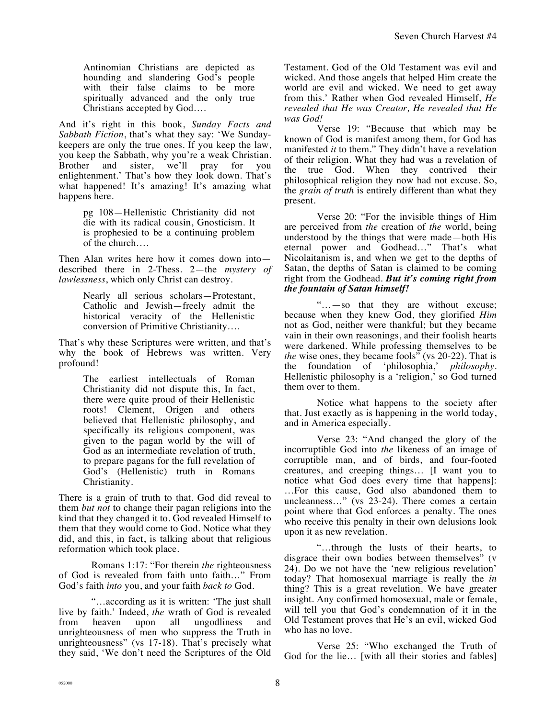Antinomian Christians are depicted as hounding and slandering God's people with their false claims to be more spiritually advanced and the only true Christians accepted by God….

And it's right in this book, *Sunday Facts and Sabbath Fiction*, that's what they say: 'We Sundaykeepers are only the true ones. If you keep the law, you keep the Sabbath, why you're a weak Christian. Brother and sister, we'll pray for you enlightenment.' That's how they look down. That's what happened! It's amazing! It's amazing what happens here.

> pg 108—Hellenistic Christianity did not die with its radical cousin, Gnosticism. It is prophesied to be a continuing problem of the church….

Then Alan writes here how it comes down into described there in 2-Thess. 2—the *mystery of lawlessness*, which only Christ can destroy.

> Nearly all serious scholars—Protestant, Catholic and Jewish—freely admit the historical veracity of the Hellenistic conversion of Primitive Christianity….

That's why these Scriptures were written, and that's why the book of Hebrews was written. Very profound!

> The earliest intellectuals of Roman Christianity did not dispute this, In fact, there were quite proud of their Hellenistic roots! Clement, Origen and others believed that Hellenistic philosophy, and specifically its religious component, was given to the pagan world by the will of God as an intermediate revelation of truth, to prepare pagans for the full revelation of God's (Hellenistic) truth in Romans Christianity.

There is a grain of truth to that. God did reveal to them *but not* to change their pagan religions into the kind that they changed it to. God revealed Himself to them that they would come to God. Notice what they did, and this, in fact, is talking about that religious reformation which took place.

Romans 1:17: "For therein *the* righteousness of God is revealed from faith unto faith…" From God's faith *into* you, and your faith *back to* God.

"…according as it is written: 'The just shall live by faith.' Indeed, *the* wrath of God is revealed from heaven upon all ungodliness and from heaven upon all ungodliness and unrighteousness of men who suppress the Truth in unrighteousness" (vs 17-18). That's precisely what they said, 'We don't need the Scriptures of the Old Testament. God of the Old Testament was evil and wicked. And those angels that helped Him create the world are evil and wicked. We need to get away from this.' Rather when God revealed Himself, *He revealed that He was Creator, He revealed that He was God!*

Verse 19: "Because that which may be known of God is manifest among them, for God has manifested *it* to them." They didn't have a revelation of their religion. What they had was a revelation of the true God. When they contrived their philosophical religion they now had not excuse. So, the *grain of truth* is entirely different than what they present.

Verse 20: "For the invisible things of Him are perceived from *the* creation of *the* world, being understood by the things that were made—both His eternal power and Godhead…" That's what Nicolaitanism is, and when we get to the depths of Satan, the depths of Satan is claimed to be coming right from the Godhead. *But it's coming right from the fountain of Satan himself!* 

"…—so that they are without excuse; because when they knew God, they glorified *Him* not as God, neither were thankful; but they became vain in their own reasonings, and their foolish hearts were darkened. While professing themselves to be *the* wise ones, they became fools<sup>"</sup> (vs 20-22). That is the foundation of 'philosophia,' *philosophy*. Hellenistic philosophy is a 'religion,' so God turned them over to them.

Notice what happens to the society after that. Just exactly as is happening in the world today, and in America especially.

Verse 23: "And changed the glory of the incorruptible God into *the* likeness of an image of corruptible man, and of birds, and four-footed creatures, and creeping things… [I want you to notice what God does every time that happens]: …For this cause, God also abandoned them to uncleanness…" (vs 23-24). There comes a certain point where that God enforces a penalty. The ones who receive this penalty in their own delusions look upon it as new revelation.

"…through the lusts of their hearts, to disgrace their own bodies between themselves" (v 24). Do we not have the 'new religious revelation' today? That homosexual marriage is really the *in* thing? This is a great revelation. We have greater insight. Any confirmed homosexual, male or female, will tell you that God's condemnation of it in the Old Testament proves that He's an evil, wicked God who has no love.

Verse 25: "Who exchanged the Truth of God for the lie... [with all their stories and fables]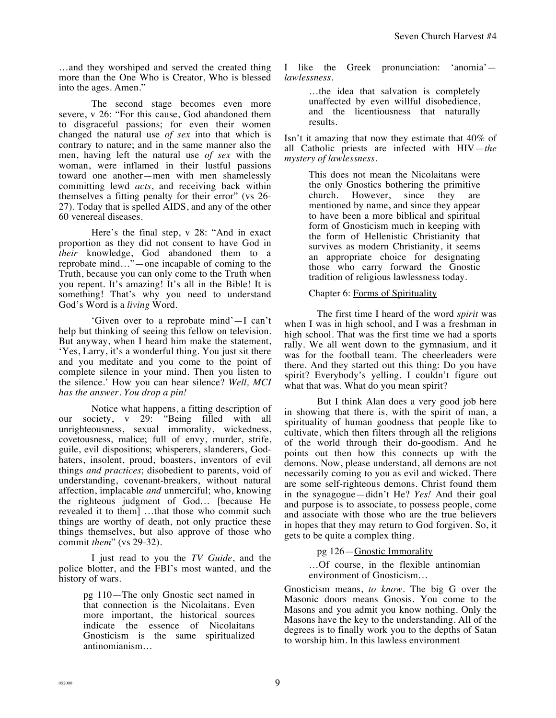…and they worshiped and served the created thing more than the One Who is Creator, Who is blessed into the ages. Amen."

The second stage becomes even more severe, v 26: "For this cause, God abandoned them to disgraceful passions; for even their women changed the natural use *of sex* into that which is contrary to nature; and in the same manner also the men, having left the natural use *of sex* with the woman, were inflamed in their lustful passions toward one another—men with men shamelessly committing lewd *acts*, and receiving back within themselves a fitting penalty for their error" (vs 26- 27). Today that is spelled AIDS, and any of the other 60 venereal diseases.

Here's the final step, v 28: "And in exact proportion as they did not consent to have God in *their* knowledge, God abandoned them to a reprobate mind…"—one incapable of coming to the Truth, because you can only come to the Truth when you repent. It's amazing! It's all in the Bible! It is something! That's why you need to understand God's Word is a *living* Word.

'Given over to a reprobate mind'—I can't help but thinking of seeing this fellow on television. But anyway, when I heard him make the statement, 'Yes, Larry, it's a wonderful thing. You just sit there and you meditate and you come to the point of complete silence in your mind. Then you listen to the silence.' How you can hear silence? *Well, MCI has the answer. You drop a pin!* 

Notice what happens, a fitting description of our society, v 29: "Being filled with all unrighteousness, sexual immorality, wickedness, covetousness, malice; full of envy, murder, strife, guile, evil dispositions; whisperers, slanderers, Godhaters, insolent, proud, boasters, inventors of evil things *and practices*; disobedient to parents, void of understanding, covenant-breakers, without natural affection, implacable *and* unmerciful; who, knowing the righteous judgment of God… [because He revealed it to them] …that those who commit such things are worthy of death, not only practice these things themselves, but also approve of those who commit *them*" (vs 29-32).

I just read to you the *TV Guide*, and the police blotter, and the FBI's most wanted, and the history of wars.

> pg 110—The only Gnostic sect named in that connection is the Nicolaitans. Even more important, the historical sources indicate the essence of Nicolaitans Gnosticism is the same spiritualized antinomianism…

I like the Greek pronunciation: 'anomia' *lawlessness*.

> …the idea that salvation is completely unaffected by even willful disobedience, and the licentiousness that naturally results.

Isn't it amazing that now they estimate that 40% of all Catholic priests are infected with HIV—*the mystery of lawlessness.* 

> This does not mean the Nicolaitans were the only Gnostics bothering the primitive church. However, since they are mentioned by name, and since they appear to have been a more biblical and spiritual form of Gnosticism much in keeping with the form of Hellenistic Christianity that survives as modern Christianity, it seems an appropriate choice for designating those who carry forward the Gnostic tradition of religious lawlessness today.

Chapter 6: Forms of Spirituality

The first time I heard of the word *spirit* was when I was in high school, and I was a freshman in high school. That was the first time we had a sports rally. We all went down to the gymnasium, and it was for the football team. The cheerleaders were there. And they started out this thing: Do you have spirit? Everybody's yelling. I couldn't figure out what that was. What do you mean spirit?

But I think Alan does a very good job here in showing that there is, with the spirit of man, a spirituality of human goodness that people like to cultivate, which then filters through all the religions of the world through their do-goodism. And he points out then how this connects up with the demons. Now, please understand, all demons are not necessarily coming to you as evil and wicked. There are some self-righteous demons. Christ found them in the synagogue—didn't He? *Yes!* And their goal and purpose is to associate, to possess people, come and associate with those who are the true believers in hopes that they may return to God forgiven. So, it gets to be quite a complex thing.

pg 126—Gnostic Immorality

…Of course, in the flexible antinomian environment of Gnosticism…

Gnosticism means, *to know*. The big G over the Masonic doors means Gnosis. You come to the Masons and you admit you know nothing. Only the Masons have the key to the understanding. All of the degrees is to finally work you to the depths of Satan to worship him. In this lawless environment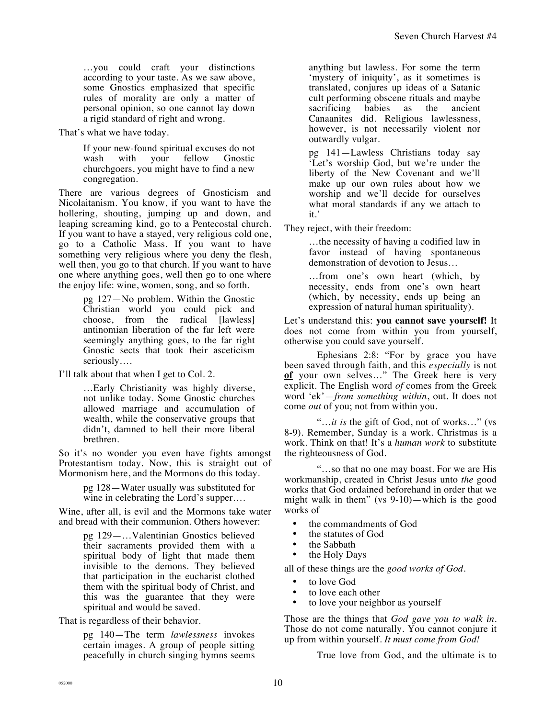…you could craft your distinctions according to your taste. As we saw above, some Gnostics emphasized that specific rules of morality are only a matter of personal opinion, so one cannot lay down a rigid standard of right and wrong.

That's what we have today.

If your new-found spiritual excuses do not<br>wash with your fellow Gnostic wash with your fellow Gnostic churchgoers, you might have to find a new congregation.

There are various degrees of Gnosticism and Nicolaitanism. You know, if you want to have the hollering, shouting, jumping up and down, and leaping screaming kind, go to a Pentecostal church. If you want to have a stayed, very religious cold one, go to a Catholic Mass. If you want to have something very religious where you deny the flesh, well then, you go to that church. If you want to have one where anything goes, well then go to one where the enjoy life: wine, women, song, and so forth.

> pg 127—No problem. Within the Gnostic Christian world you could pick and choose, from the radical [lawless] antinomian liberation of the far left were seemingly anything goes, to the far right Gnostic sects that took their asceticism seriously….

I'll talk about that when I get to Col. 2.

…Early Christianity was highly diverse, not unlike today. Some Gnostic churches allowed marriage and accumulation of wealth, while the conservative groups that didn't, damned to hell their more liberal brethren.

So it's no wonder you even have fights amongst Protestantism today. Now, this is straight out of Mormonism here, and the Mormons do this today.

> pg 128—Water usually was substituted for wine in celebrating the Lord's supper….

Wine, after all, is evil and the Mormons take water and bread with their communion. Others however:

> pg 129—…Valentinian Gnostics believed their sacraments provided them with a spiritual body of light that made them invisible to the demons. They believed that participation in the eucharist clothed them with the spiritual body of Christ, and this was the guarantee that they were spiritual and would be saved.

That is regardless of their behavior.

pg 140—The term *lawlessness* invokes certain images. A group of people sitting peacefully in church singing hymns seems anything but lawless. For some the term 'mystery of iniquity', as it sometimes is translated, conjures up ideas of a Satanic cult performing obscene rituals and maybe sacrificing babies as the ancient Canaanites did. Religious lawlessness, however, is not necessarily violent nor outwardly vulgar.

pg 141—Lawless Christians today say 'Let's worship God, but we're under the liberty of the New Covenant and we'll make up our own rules about how we worship and we'll decide for ourselves what moral standards if any we attach to it.'

They reject, with their freedom:

…the necessity of having a codified law in favor instead of having spontaneous demonstration of devotion to Jesus…

…from one's own heart (which, by necessity, ends from one's own heart (which, by necessity, ends up being an expression of natural human spirituality).

Let's understand this: **you cannot save yourself!** It does not come from within you from yourself, otherwise you could save yourself.

Ephesians 2:8: "For by grace you have been saved through faith, and this *especially* is not **of** your own selves…" The Greek here is very explicit. The English word *of* comes from the Greek word 'ek'—*from something within*, out. It does not come *out* of you; not from within you.

"…*it is* the gift of God, not of works…" (vs 8-9). Remember, Sunday is a work. Christmas is a work. Think on that! It's a *human work* to substitute the righteousness of God.

"…so that no one may boast. For we are His workmanship, created in Christ Jesus unto *the* good works that God ordained beforehand in order that we might walk in them" (vs 9-10)—which is the good works of

- the commandments of God
- the statutes of God
- the Sabbath
- the Holy Days

all of these things are the *good works of God*.

- to love God
- to love each other
- to love your neighbor as yourself

Those are the things that *God gave you to walk in*. Those do not come naturally. You cannot conjure it up from within yourself. *It must come from God!*

True love from God, and the ultimate is to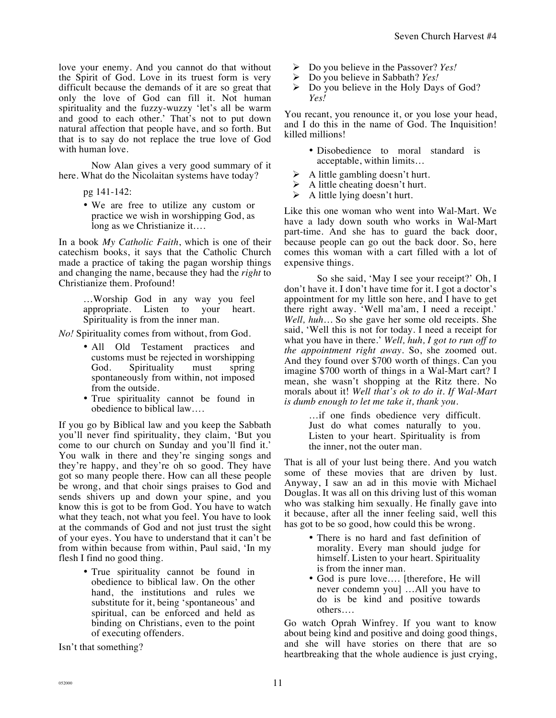love your enemy. And you cannot do that without the Spirit of God. Love in its truest form is very difficult because the demands of it are so great that only the love of God can fill it. Not human spirituality and the fuzzy-wuzzy 'let's all be warm and good to each other.' That's not to put down natural affection that people have, and so forth. But that is to say do not replace the true love of God with human love.

Now Alan gives a very good summary of it here. What do the Nicolaitan systems have today?

- pg 141-142:
- We are free to utilize any custom or practice we wish in worshipping God, as long as we Christianize it….

In a book *My Catholic Faith*, which is one of their catechism books, it says that the Catholic Church made a practice of taking the pagan worship things and changing the name, because they had the *right* to Christianize them. Profound!

> …Worship God in any way you feel appropriate. Listen to your heart. Spirituality is from the inner man.

*No!* Spirituality comes from without, from God.

- All Old Testament practices and customs must be rejected in worshipping God. Spirituality must spring spontaneously from within, not imposed from the outside.
- True spirituality cannot be found in obedience to biblical law….

If you go by Biblical law and you keep the Sabbath you'll never find spirituality, they claim, 'But you come to our church on Sunday and you'll find it.' You walk in there and they're singing songs and they're happy, and they're oh so good. They have got so many people there. How can all these people be wrong, and that choir sings praises to God and sends shivers up and down your spine, and you know this is got to be from God. You have to watch what they teach, not what you feel. You have to look at the commands of God and not just trust the sight of your eyes. You have to understand that it can't be from within because from within, Paul said, 'In my flesh I find no good thing.

> • True spirituality cannot be found in obedience to biblical law. On the other hand, the institutions and rules we substitute for it, being 'spontaneous' and spiritual, can be enforced and held as binding on Christians, even to the point of executing offenders.

Isn't that something?

- **E** Do you believe in the Passover? *Yes!*<br>► Do you believe in Sabbath? *Yes!*
- ! Do you believe in Sabbath? *Yes!*
- $\triangleright$  Do you believe in the Holy Days of God? *Yes!*

You recant, you renounce it, or you lose your head, and I do this in the name of God. The Inquisition! killed millions!

- Disobedience to moral standard is acceptable, within limits…
- $\triangleright$  A little gambling doesn't hurt.
- $\triangleright$  A little cheating doesn't hurt.
- $\triangleright$  A little lying doesn't hurt.

Like this one woman who went into Wal-Mart. We have a lady down south who works in Wal-Mart part-time. And she has to guard the back door, because people can go out the back door. So, here comes this woman with a cart filled with a lot of expensive things.

So she said, 'May I see your receipt?' Oh, I don't have it. I don't have time for it. I got a doctor's appointment for my little son here, and I have to get there right away. 'Well ma'am, I need a receipt.' *Well, huh…* So she gave her some old receipts. She said, 'Well this is not for today. I need a receipt for what you have in there.' *Well, huh, I got to run off to the appointment right away.* So, she zoomed out. And they found over \$700 worth of things. Can you imagine \$700 worth of things in a Wal-Mart cart? I mean, she wasn't shopping at the Ritz there. No morals about it! *Well that's ok to do it. If Wal-Mart is dumb enough to let me take it, thank you.* 

> …if one finds obedience very difficult. Just do what comes naturally to you. Listen to your heart. Spirituality is from the inner, not the outer man.

That is all of your lust being there. And you watch some of these movies that are driven by lust. Anyway, I saw an ad in this movie with Michael Douglas. It was all on this driving lust of this woman who was stalking him sexually. He finally gave into it because, after all the inner feeling said, well this has got to be so good, how could this be wrong.

- There is no hard and fast definition of morality. Every man should judge for himself. Listen to your heart. Spirituality is from the inner man.
- God is pure love.... [therefore, He will never condemn you] …All you have to do is be kind and positive towards others….

Go watch Oprah Winfrey. If you want to know about being kind and positive and doing good things, and she will have stories on there that are so heartbreaking that the whole audience is just crying,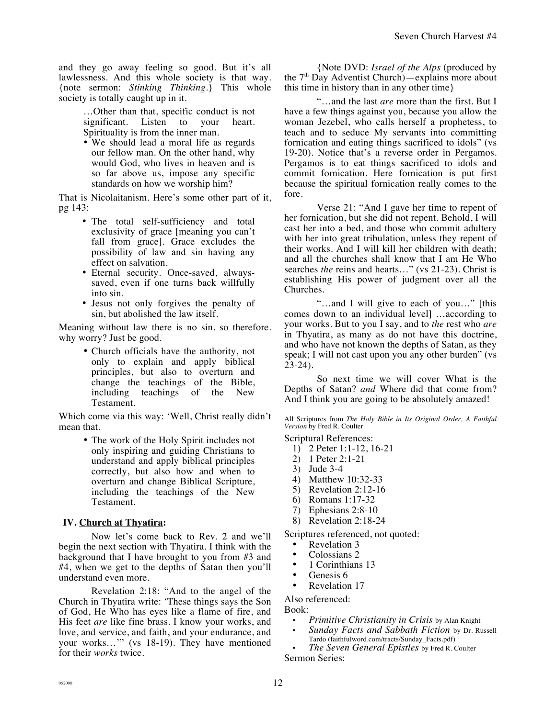and they go away feeling so good. But it's all lawlessness. And this whole society is that way. {note sermon: *Stinking Thinking*.} This whole society is totally caught up in it.

> …Other than that, specific conduct is not significant. Listen to your heart. Spirituality is from the inner man.

> • We should lead a moral life as regards our fellow man. On the other hand, why would God, who lives in heaven and is so far above us, impose any specific standards on how we worship him?

That is Nicolaitanism. Here's some other part of it, pg 143:

- The total self-sufficiency and total exclusivity of grace [meaning you can't fall from grace]. Grace excludes the possibility of law and sin having any effect on salvation.
- Eternal security. Once-saved, alwayssaved, even if one turns back willfully into sin.
- Jesus not only forgives the penalty of sin, but abolished the law itself.

Meaning without law there is no sin. so therefore. why worry? Just be good.

> • Church officials have the authority, not only to explain and apply biblical principles, but also to overturn and change the teachings of the Bible, including teachings of the New Testament.

Which come via this way: 'Well, Christ really didn't mean that.

> • The work of the Holy Spirit includes not only inspiring and guiding Christians to understand and apply biblical principles correctly, but also how and when to overturn and change Biblical Scripture, including the teachings of the New Testament.

## **IV. Church at Thyatira:**

Now let's come back to Rev. 2 and we'll begin the next section with Thyatira. I think with the background that I have brought to you from #3 and #4, when we get to the depths of Satan then you'll understand even more.

Revelation 2:18: "And to the angel of the Church in Thyatira write: 'These things says the Son of God, He Who has eyes like a flame of fire, and His feet *are* like fine brass. I know your works, and love, and service, and faith, and your endurance, and your works…'" (vs 18-19). They have mentioned for their *works* twice.

{Note DVD: *Israel of the Alps* (produced by the  $7<sup>th</sup>$  Day Adventist Church)—explains more about this time in history than in any other time}

"…and the last *are* more than the first. But I have a few things against you, because you allow the woman Jezebel, who calls herself a prophetess, to teach and to seduce My servants into committing fornication and eating things sacrificed to idols" (vs 19-20). Notice that's a reverse order in Pergamos. Pergamos is to eat things sacrificed to idols and commit fornication. Here fornication is put first because the spiritual fornication really comes to the fore.

Verse 21: "And I gave her time to repent of her fornication, but she did not repent. Behold, I will cast her into a bed, and those who commit adultery with her into great tribulation, unless they repent of their works. And I will kill her children with death; and all the churches shall know that I am He Who searches *the* reins and hearts…" (vs 21-23). Christ is establishing His power of judgment over all the Churches.

"…and I will give to each of you…" [this comes down to an individual level] …according to your works. But to you I say, and to *the* rest who *are* in Thyatira, as many as do not have this doctrine, and who have not known the depths of Satan, as they speak; I will not cast upon you any other burden" (vs 23-24).

So next time we will cover What is the Depths of Satan? *and* Where did that come from? And I think you are going to be absolutely amazed!

All Scriptures from *The Holy Bible in Its Original Order, A Faithful Version* by Fred R. Coulter

Scriptural References:

- 1) 2 Peter 1:1-12, 16-21
- 2) 1 Peter 2:1-21
- 3) Jude 3-4
- 4) Matthew 10:32-33
- 5) Revelation 2:12-16
- 6) Romans 1:17-32
- 7) Ephesians 2:8-10
- 8) Revelation 2:18-24

Scriptures referenced, not quoted:

- Revelation 3
- Colossians 2
- 1 Corinthians 13
- Genesis 6
- Revelation 17

Also referenced:

Book:

- *Primitive Christianity in Crisis* by Alan Knight
- *Sunday Facts and Sabbath Fiction* by Dr. Russell Tardo (faithfulword.com/tracts/Sunday\_Facts.pdf)

• *The Seven General Epistles* by Fred R. Coulter Sermon Series: